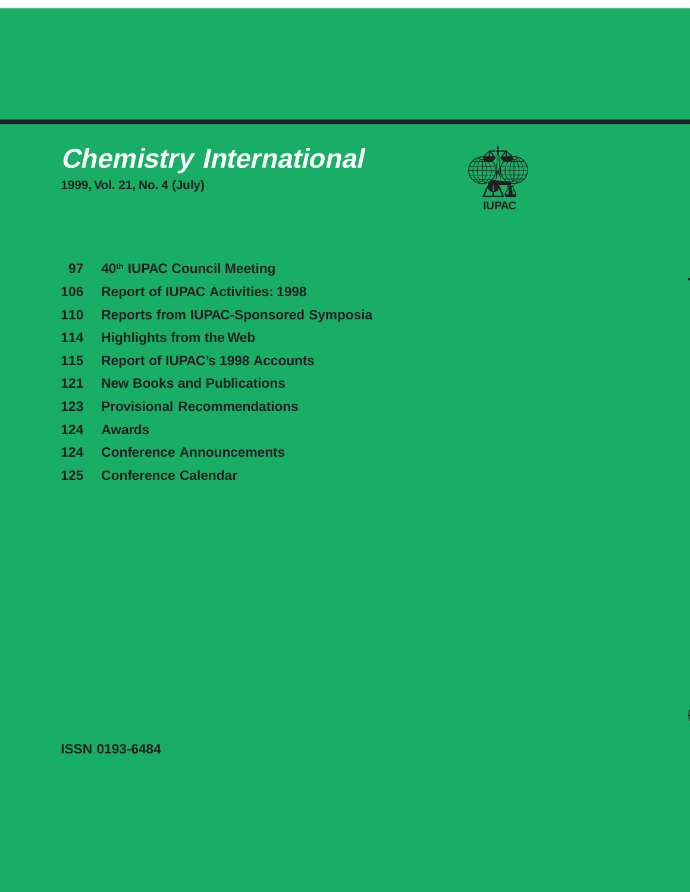## **Chemistry International**

**1999, Vol. 21, No. 4 (July)**



**T**

- **97 40th IUPAC Council Meeting**
- **106 Report of IUPAC Activities: 1998**
- **110 Reports from IUPAC-Sponsored Symposia**
- **114 Highlights from the Web**
- **115 Report of IUPAC's 1998 Accounts**
- **121 New Books and Publications**
- **123 Provisional Recommendations**
- **124 Awards**
- **124 Conference Announcements**
- **125 Conference Calendar**

**ISSN 0193-6484**